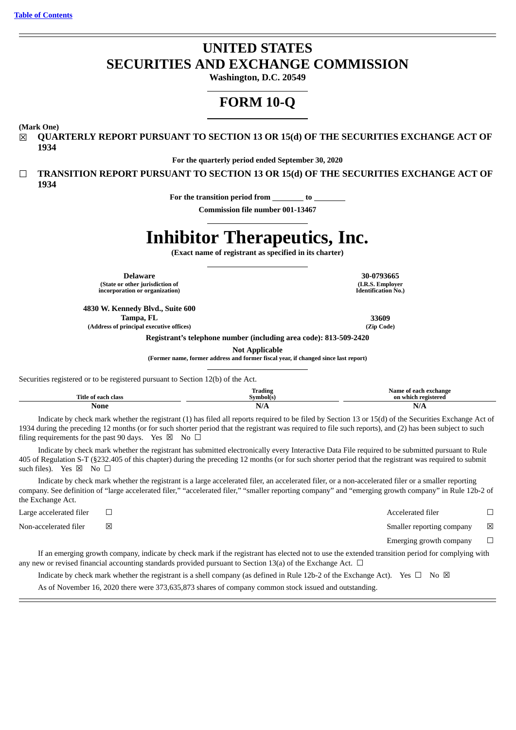# **UNITED STATES SECURITIES AND EXCHANGE COMMISSION**

**Washington, D.C. 20549**

# **FORM 10-Q**

**(Mark One)**

☒ **QUARTERLY REPORT PURSUANT TO SECTION 13 OR 15(d) OF THE SECURITIES EXCHANGE ACT OF 1934**

**For the quarterly period ended September 30, 2020**

☐ **TRANSITION REPORT PURSUANT TO SECTION 13 OR 15(d) OF THE SECURITIES EXCHANGE ACT OF 1934**

**For the transition period from to**

**Commission file number 001-13467**

# **Inhibitor Therapeutics, Inc.**

**(Exact name of registrant as specified in its charter)**

**Delaware 30-0793665 (State or other jurisdiction of incorporation or organization)**

**4830 W. Kennedy Blvd., Suite 600 Tampa, FL 33609 (Address of principal executive offices) (Zip Code)**

**(I.R.S. Employer Identification No.)**

**Registrant's telephone number (including area code): 813-509-2420**

**Not Applicable**

**(Former name, former address and former fiscal year, if changed since last report)**

Securities registered or to be registered pursuant to Section 12(b) of the Act.

|                            | m.<br>Trading                   | Name<br>' each exchange<br>Ωt<br>c |
|----------------------------|---------------------------------|------------------------------------|
| Title .<br>ı class<br>eacl | Svmbol(s                        | ı registered<br>on which           |
| None                       | $\cdot$ $\cdot$ $\cdot$<br>11/T | п.<br>IN/H                         |

Indicate by check mark whether the registrant (1) has filed all reports required to be filed by Section 13 or 15(d) of the Securities Exchange Act of 1934 during the preceding 12 months (or for such shorter period that the registrant was required to file such reports), and (2) has been subject to such filing requirements for the past 90 days. Yes  $\boxtimes$  No  $\Box$ 

Indicate by check mark whether the registrant has submitted electronically every Interactive Data File required to be submitted pursuant to Rule 405 of Regulation S-T (§232.405 of this chapter) during the preceding 12 months (or for such shorter period that the registrant was required to submit such files). Yes  $\boxtimes$  No  $\square$ 

Indicate by check mark whether the registrant is a large accelerated filer, an accelerated filer, or a non-accelerated filer or a smaller reporting company. See definition of "large accelerated filer," "accelerated filer," "smaller reporting company" and "emerging growth company" in Rule 12b-2 of the Exchange Act.

Large accelerated filer ☐ Accelerated filer ☐

Non-accelerated filer **⊠** △ Smaller reporting company **⊠** Smaller reporting company **⊠** 

Emerging growth company  $\Box$ 

If an emerging growth company, indicate by check mark if the registrant has elected not to use the extended transition period for complying with any new or revised financial accounting standards provided pursuant to Section 13(a) of the Exchange Act.  $\Box$ 

Indicate by check mark whether the registrant is a shell company (as defined in Rule 12b-2 of the Exchange Act). Yes  $\Box$  No  $\boxtimes$ 

As of November 16, 2020 there were 373,635,873 shares of company common stock issued and outstanding.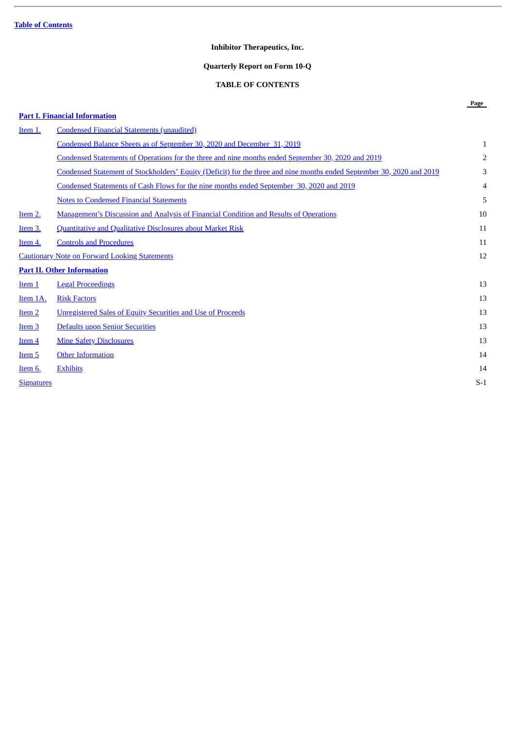## **Inhibitor Therapeutics, Inc.**

## **Quarterly Report on Form 10-Q**

## **TABLE OF CONTENTS**

**Page**

## <span id="page-1-0"></span>**Part I. Financial [Information](#page-2-0)**

| Item 1.           | <b>Condensed Financial Statements (unaudited)</b>                                                                     |       |
|-------------------|-----------------------------------------------------------------------------------------------------------------------|-------|
|                   | Condensed Balance Sheets as of September 30, 2020 and December 31, 2019                                               | 1     |
|                   | Condensed Statements of Operations for the three and nine months ended September 30, 2020 and 2019                    | 2     |
|                   | Condensed Statement of Stockholders' Equity (Deficit) for the three and nine months ended September 30, 2020 and 2019 | 3     |
|                   | Condensed Statements of Cash Flows for the nine months ended September 30, 2020 and 2019                              | 4     |
|                   | <b>Notes to Condensed Financial Statements</b>                                                                        | 5     |
| Item 2.           | <b>Management's Discussion and Analysis of Financial Condition and Results of Operations</b>                          | 10    |
| <u>Item 3.</u>    | <b>Quantitative and Qualitative Disclosures about Market Risk</b>                                                     | 11    |
| <u>Item 4.</u>    | <b>Controls and Procedures</b>                                                                                        | 11    |
|                   | <b>Cautionary Note on Forward Looking Statements</b>                                                                  | 12    |
|                   | <b>Part II. Other Information</b>                                                                                     |       |
| Item <sub>1</sub> | <b>Legal Proceedings</b>                                                                                              | 13    |
| Item 1A.          | <b>Risk Factors</b>                                                                                                   | 13    |
| Item <sub>2</sub> | <b>Unregistered Sales of Equity Securities and Use of Proceeds</b>                                                    | 13    |
| <u>Item 3</u>     | Defaults upon Senior Securities                                                                                       | 13    |
| Item <sub>4</sub> | <b>Mine Safety Disclosures</b>                                                                                        | 13    |
| Item 5            | <b>Other Information</b>                                                                                              | 14    |
| Item 6.           | <b>Exhibits</b>                                                                                                       | 14    |
| <b>Signatures</b> |                                                                                                                       | $S-1$ |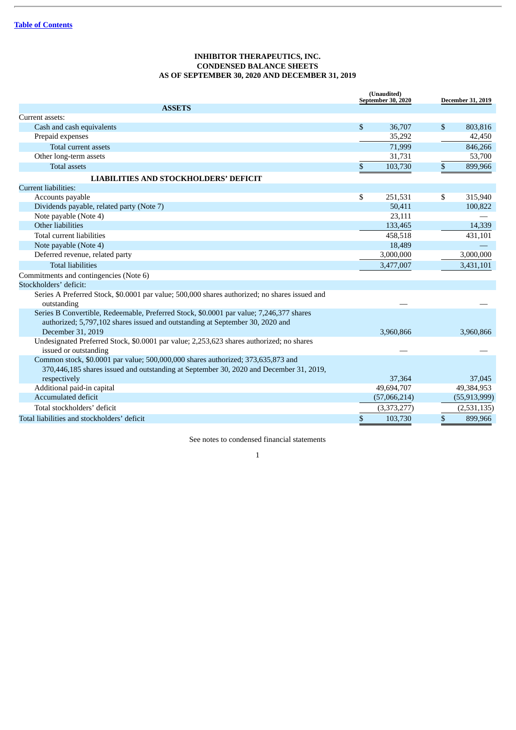## **INHIBITOR THERAPEUTICS, INC. CONDENSED BALANCE SHEETS AS OF SEPTEMBER 30, 2020 AND DECEMBER 31, 2019**

<span id="page-2-1"></span><span id="page-2-0"></span>

|                                                                                                                                                                            | (Unaudited)<br>September 30, 2020 |              |    | December 31, 2019 |
|----------------------------------------------------------------------------------------------------------------------------------------------------------------------------|-----------------------------------|--------------|----|-------------------|
| <b>ASSETS</b>                                                                                                                                                              |                                   |              |    |                   |
| Current assets:                                                                                                                                                            |                                   |              |    |                   |
| Cash and cash equivalents                                                                                                                                                  | $\mathbb{S}$                      | 36,707       | \$ | 803,816           |
| Prepaid expenses                                                                                                                                                           |                                   | 35,292       |    | 42,450            |
| Total current assets                                                                                                                                                       |                                   | 71,999       |    | 846,266           |
| Other long-term assets                                                                                                                                                     |                                   | 31,731       |    | 53,700            |
| <b>Total assets</b>                                                                                                                                                        | \$                                | 103,730      | \$ | 899,966           |
| <b>LIABILITIES AND STOCKHOLDERS' DEFICIT</b>                                                                                                                               |                                   |              |    |                   |
| Current liabilities:                                                                                                                                                       |                                   |              |    |                   |
| Accounts payable                                                                                                                                                           | \$                                | 251,531      | \$ | 315,940           |
| Dividends payable, related party (Note 7)                                                                                                                                  |                                   | 50,411       |    | 100,822           |
| Note payable (Note 4)                                                                                                                                                      |                                   | 23,111       |    |                   |
| Other liabilities                                                                                                                                                          |                                   | 133,465      |    | 14,339            |
| Total current liabilities                                                                                                                                                  |                                   | 458,518      |    | 431,101           |
| Note payable (Note 4)                                                                                                                                                      |                                   | 18,489       |    |                   |
| Deferred revenue, related party                                                                                                                                            |                                   | 3,000,000    |    | 3,000,000         |
| <b>Total liabilities</b>                                                                                                                                                   |                                   | 3,477,007    |    | 3,431,101         |
| Commitments and contingencies (Note 6)                                                                                                                                     |                                   |              |    |                   |
| Stockholders' deficit:                                                                                                                                                     |                                   |              |    |                   |
| Series A Preferred Stock, \$0.0001 par value; 500,000 shares authorized; no shares issued and<br>outstanding                                                               |                                   |              |    |                   |
| Series B Convertible, Redeemable, Preferred Stock, \$0.0001 par value; 7,246,377 shares<br>authorized; 5,797,102 shares issued and outstanding at September 30, 2020 and   |                                   |              |    |                   |
| December 31, 2019                                                                                                                                                          |                                   | 3,960,866    |    | 3,960,866         |
| Undesignated Preferred Stock, \$0.0001 par value; 2,253,623 shares authorized; no shares<br>issued or outstanding                                                          |                                   |              |    |                   |
| Common stock, \$0.0001 par value; 500,000,000 shares authorized; 373,635,873 and<br>370,446,185 shares issued and outstanding at September 30, 2020 and December 31, 2019, |                                   |              |    |                   |
| respectively                                                                                                                                                               |                                   | 37,364       |    | 37,045            |
| Additional paid-in capital                                                                                                                                                 |                                   | 49,694,707   |    | 49,384,953        |
| Accumulated deficit                                                                                                                                                        |                                   | (57,066,214) |    | (55, 913, 999)    |
| Total stockholders' deficit                                                                                                                                                |                                   | (3,373,277)  |    | (2,531,135)       |
| Total liabilities and stockholders' deficit                                                                                                                                | \$                                | 103,730      | \$ | 899,966           |

See notes to condensed financial statements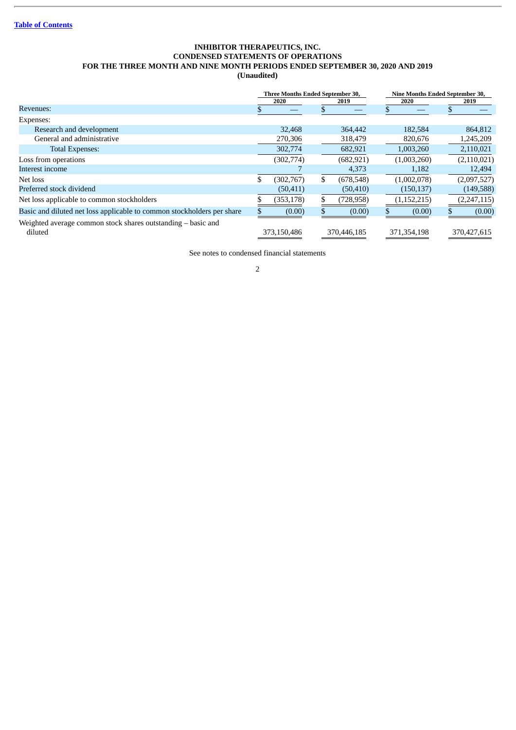## **INHIBITOR THERAPEUTICS, INC. CONDENSED STATEMENTS OF OPERATIONS FOR THE THREE MONTH AND NINE MONTH PERIODS ENDED SEPTEMBER 30, 2020 AND 2019 (Unaudited)**

<span id="page-3-0"></span>

|                                                                         | <b>Three Months Ended September 30,</b> |             |    |             | <b>Nine Months Ended September 30,</b> |               |  |               |  |
|-------------------------------------------------------------------------|-----------------------------------------|-------------|----|-------------|----------------------------------------|---------------|--|---------------|--|
|                                                                         |                                         | 2020        |    | 2019        | 2020                                   |               |  | 2019          |  |
| Revenues:                                                               |                                         |             |    |             |                                        |               |  |               |  |
| Expenses:                                                               |                                         |             |    |             |                                        |               |  |               |  |
| Research and development                                                |                                         | 32,468      |    | 364,442     |                                        | 182,584       |  | 864,812       |  |
| General and administrative                                              |                                         | 270,306     |    | 318,479     |                                        | 820,676       |  | 1,245,209     |  |
| Total Expenses:                                                         |                                         | 302,774     |    | 682,921     |                                        | 1,003,260     |  | 2,110,021     |  |
| Loss from operations                                                    |                                         | (302,774)   |    | (682, 921)  |                                        | (1,003,260)   |  | (2,110,021)   |  |
| Interest income                                                         |                                         |             |    | 4,373       |                                        | 1,182         |  | 12,494        |  |
| Net loss                                                                |                                         | (302,767)   | \$ | (678, 548)  |                                        | (1,002,078)   |  | (2,097,527)   |  |
| Preferred stock dividend                                                |                                         | (50, 411)   |    | (50, 410)   |                                        | (150, 137)    |  | (149, 588)    |  |
| Net loss applicable to common stockholders                              |                                         | (353, 178)  |    | (728, 958)  |                                        | (1, 152, 215) |  | (2, 247, 115) |  |
| Basic and diluted net loss applicable to common stockholders per share  |                                         | (0.00)      |    | (0.00)      |                                        | (0.00)        |  | (0.00)        |  |
| Weighted average common stock shares outstanding – basic and<br>diluted |                                         | 373,150,486 |    | 370,446,185 |                                        | 371,354,198   |  | 370,427,615   |  |

See notes to condensed financial statements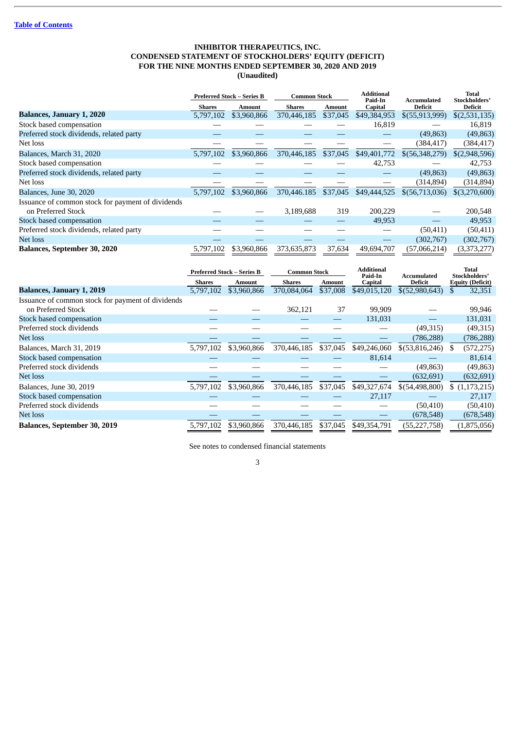## **INHIBITOR THERAPEUTICS, INC. CONDENSED STATEMENT OF STOCKHOLDERS' EQUITY (DEFICIT) FOR THE NINE MONTHS ENDED SEPTEMBER 30, 2020 AND 2019 (Unaudited)**

<span id="page-4-0"></span>

|                                                   |               | <b>Preferred Stock - Series B</b> | <b>Common Stock</b> |               | <b>Additional</b><br>Paid-In | Accumulated      |                   |
|---------------------------------------------------|---------------|-----------------------------------|---------------------|---------------|------------------------------|------------------|-------------------|
|                                                   | <b>Shares</b> | <b>Amount</b>                     | <b>Shares</b>       | <b>Amount</b> | Capital                      | <b>Deficit</b>   | Deficit           |
| <b>Balances, January 1, 2020</b>                  | 5,797,102     | \$3,960,866                       | 370,446,185         | \$37,045      | \$49,384,953                 | \$(55,913,999)   | \$(2,531,135)     |
| Stock based compensation                          |               |                                   |                     |               | 16,819                       |                  | 16,819            |
| Preferred stock dividends, related party          |               |                                   |                     |               |                              | (49, 863)        | (49, 863)         |
| Net loss                                          |               |                                   |                     |               |                              | (384,417)        | (384, 417)        |
| Balances, March 31, 2020                          | 5,797,102     | \$3,960,866                       | 370,446,185         | \$37,045      | \$49,401,772                 | \$ (56,348,279)  | \$(2,948,596)     |
| Stock based compensation                          |               |                                   |                     |               | 42,753                       |                  | 42,753            |
| Preferred stock dividends, related party          |               |                                   |                     |               |                              | (49, 863)        | (49, 863)         |
| Net loss                                          |               |                                   |                     |               |                              | (314, 894)       | (314, 894)        |
| Balances, June 30, 2020                           | 5.797.102     | \$3,960,866                       | 370,446.185         | \$37,045      | \$49,444,525                 | $$$ (56,713,036) | $$$ $(3,270,600)$ |
| Issuance of common stock for payment of dividends |               |                                   |                     |               |                              |                  |                   |
| on Preferred Stock                                |               |                                   | 3,189,688           | 319           | 200,229                      |                  | 200,548           |
| Stock based compensation                          |               |                                   |                     |               | 49,953                       |                  | 49,953            |
| Preferred stock dividends, related party          |               |                                   |                     |               |                              | (50, 411)        | (50, 411)         |
| Net loss                                          |               |                                   |                     |               |                              | (302,767)        | (302,767)         |
| <b>Balances, September 30, 2020</b>               | 5,797,102     | \$3,960,866                       | 373,635,873         | 37,634        | 49,694,707                   | (57,066,214)     | (3,373,277)       |

|                                                   |               | <b>Preferred Stock – Series B</b> | <b>Common Stock</b> |               | <b>Additional</b><br>Paid-In | Accumulated      | <b>Total</b><br>Stockholders' |  |
|---------------------------------------------------|---------------|-----------------------------------|---------------------|---------------|------------------------------|------------------|-------------------------------|--|
|                                                   | <b>Shares</b> | <b>Amount</b>                     | <b>Shares</b>       | <b>Amount</b> | <b>Capital</b>               | <b>Deficit</b>   | <b>Equity (Deficit)</b>       |  |
| <b>Balances, January 1, 2019</b>                  | 5,797,102     | \$3,960,866                       | 370,084,064         | \$37,008      | \$49,015,120                 | \$(52,980,643)   | 32,351<br>\$                  |  |
| Issuance of common stock for payment of dividends |               |                                   |                     |               |                              |                  |                               |  |
| on Preferred Stock                                |               |                                   | 362,121             | 37            | 99,909                       |                  | 99,946                        |  |
| Stock based compensation                          |               |                                   |                     |               | 131,031                      |                  | 131,031                       |  |
| Preferred stock dividends                         |               |                                   |                     |               |                              | (49,315)         | (49,315)                      |  |
| Net loss                                          |               |                                   |                     |               |                              | (786, 288)       | (786, 288)                    |  |
| Balances, March 31, 2019                          | 5.797.102     | \$3,960,866                       | 370,446,185         | \$37,045      | \$49,246,060                 | $$$ (53,816,246) | (572, 275)<br>S.              |  |
| Stock based compensation                          |               |                                   |                     |               | 81,614                       |                  | 81,614                        |  |
| Preferred stock dividends                         |               |                                   |                     |               |                              | (49, 863)        | (49, 863)                     |  |
| Net loss                                          |               |                                   |                     |               |                              | (632, 691)       | (632, 691)                    |  |
| Balances, June 30, 2019                           | 5,797,102     | \$3,960,866                       | 370,446,185         | \$37,045      | \$49,327,674                 | \$(54,498,800)   | \$(1,173,215)                 |  |
| Stock based compensation                          |               |                                   |                     |               | 27,117                       |                  | 27,117                        |  |
| Preferred stock dividends                         |               |                                   |                     |               |                              | (50, 410)        | (50, 410)                     |  |
| Net loss                                          |               |                                   |                     |               |                              | (678, 548)       | (678, 548)                    |  |
| <b>Balances, September 30, 2019</b>               | 5,797,102     | \$3,960,866                       | 370,446,185         | \$37,045      | \$49,354,791                 | (55, 227, 758)   | (1,875,056)                   |  |

See notes to condensed financial statements 3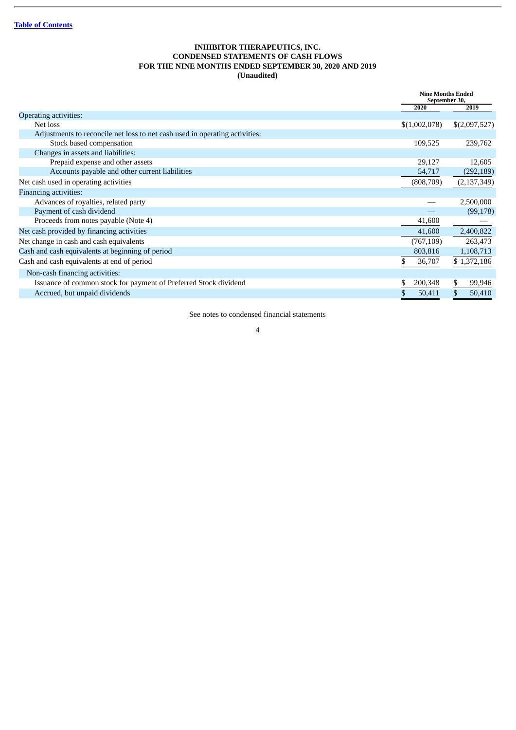## **INHIBITOR THERAPEUTICS, INC. CONDENSED STATEMENTS OF CASH FLOWS FOR THE NINE MONTHS ENDED SEPTEMBER 30, 2020 AND 2019 (Unaudited)**

<span id="page-5-0"></span>

|                                                                             |               | <b>Nine Months Ended</b><br>September 30, |
|-----------------------------------------------------------------------------|---------------|-------------------------------------------|
|                                                                             | 2020          | 2019                                      |
| <b>Operating activities:</b>                                                |               |                                           |
| Net loss                                                                    | \$(1,002,078) | \$(2,097,527)                             |
| Adjustments to reconcile net loss to net cash used in operating activities: |               |                                           |
| Stock based compensation                                                    | 109,525       | 239,762                                   |
| Changes in assets and liabilities:                                          |               |                                           |
| Prepaid expense and other assets                                            | 29,127        | 12,605                                    |
| Accounts payable and other current liabilities                              | 54,717        | (292, 189)                                |
| Net cash used in operating activities                                       | (808,709)     | (2, 137, 349)                             |
| <b>Financing activities:</b>                                                |               |                                           |
| Advances of royalties, related party                                        |               | 2,500,000                                 |
| Payment of cash dividend                                                    |               | (99, 178)                                 |
| Proceeds from notes payable (Note 4)                                        | 41,600        |                                           |
| Net cash provided by financing activities                                   | 41,600        | 2,400,822                                 |
| Net change in cash and cash equivalents                                     | (767, 109)    | 263,473                                   |
| Cash and cash equivalents at beginning of period                            | 803,816       | 1,108,713                                 |
| Cash and cash equivalents at end of period                                  | 36,707        | \$1,372,186                               |
| Non-cash financing activities:                                              |               |                                           |
| Issuance of common stock for payment of Preferred Stock dividend            | 200,348<br>\$ | \$<br>99,946                              |
| Accrued, but unpaid dividends                                               | 50,411        | 50,410                                    |
|                                                                             |               |                                           |

See notes to condensed financial statements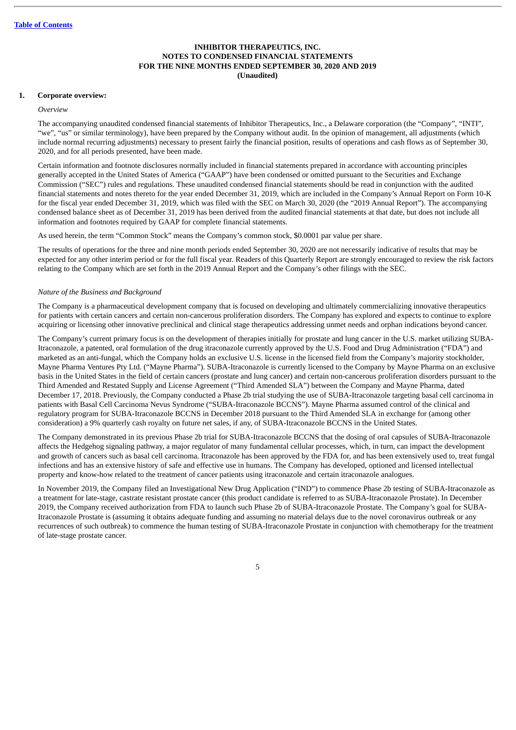#### <span id="page-6-0"></span>**1. Corporate overview:**

#### *Overview*

The accompanying unaudited condensed financial statements of Inhibitor Therapeutics, Inc., a Delaware corporation (the "Company", "INTI", "we", "us" or similar terminology), have been prepared by the Company without audit. In the opinion of management, all adjustments (which include normal recurring adjustments) necessary to present fairly the financial position, results of operations and cash flows as of September 30, 2020, and for all periods presented, have been made.

Certain information and footnote disclosures normally included in financial statements prepared in accordance with accounting principles generally accepted in the United States of America ("GAAP") have been condensed or omitted pursuant to the Securities and Exchange Commission ("SEC") rules and regulations. These unaudited condensed financial statements should be read in conjunction with the audited financial statements and notes thereto for the year ended December 31, 2019, which are included in the Company's Annual Report on Form 10-K for the fiscal year ended December 31, 2019, which was filed with the SEC on March 30, 2020 (the "2019 Annual Report"). The accompanying condensed balance sheet as of December 31, 2019 has been derived from the audited financial statements at that date, but does not include all information and footnotes required by GAAP for complete financial statements.

As used herein, the term "Common Stock" means the Company's common stock, \$0.0001 par value per share.

The results of operations for the three and nine month periods ended September 30, 2020 are not necessarily indicative of results that may be expected for any other interim period or for the full fiscal year. Readers of this Quarterly Report are strongly encouraged to review the risk factors relating to the Company which are set forth in the 2019 Annual Report and the Company's other filings with the SEC.

## *Nature of the Business and Background*

The Company is a pharmaceutical development company that is focused on developing and ultimately commercializing innovative therapeutics for patients with certain cancers and certain non-cancerous proliferation disorders. The Company has explored and expects to continue to explore acquiring or licensing other innovative preclinical and clinical stage therapeutics addressing unmet needs and orphan indications beyond cancer.

The Company's current primary focus is on the development of therapies initially for prostate and lung cancer in the U.S. market utilizing SUBA-Itraconazole, a patented, oral formulation of the drug itraconazole currently approved by the U.S. Food and Drug Administration ("FDA") and marketed as an anti-fungal, which the Company holds an exclusive U.S. license in the licensed field from the Company's majority stockholder, Mayne Pharma Ventures Pty Ltd. ("Mayne Pharma"). SUBA-Itraconazole is currently licensed to the Company by Mayne Pharma on an exclusive basis in the United States in the field of certain cancers (prostate and lung cancer) and certain non-cancerous proliferation disorders pursuant to the Third Amended and Restated Supply and License Agreement ("Third Amended SLA") between the Company and Mayne Pharma, dated December 17, 2018. Previously, the Company conducted a Phase 2b trial studying the use of SUBA-Itraconazole targeting basal cell carcinoma in patients with Basal Cell Carcinoma Nevus Syndrome ("SUBA-Itraconazole BCCNS"). Mayne Pharma assumed control of the clinical and regulatory program for SUBA-Itraconazole BCCNS in December 2018 pursuant to the Third Amended SLA in exchange for (among other consideration) a 9% quarterly cash royalty on future net sales, if any, of SUBA-Itraconazole BCCNS in the United States.

The Company demonstrated in its previous Phase 2b trial for SUBA-Itraconazole BCCNS that the dosing of oral capsules of SUBA-Itraconazole affects the Hedgehog signaling pathway, a major regulator of many fundamental cellular processes, which, in turn, can impact the development and growth of cancers such as basal cell carcinoma. Itraconazole has been approved by the FDA for, and has been extensively used to, treat fungal infections and has an extensive history of safe and effective use in humans. The Company has developed, optioned and licensed intellectual property and know-how related to the treatment of cancer patients using itraconazole and certain itraconazole analogues.

In November 2019, the Company filed an Investigational New Drug Application ("IND") to commence Phase 2b testing of SUBA-Itraconazole as a treatment for late-stage, castrate resistant prostate cancer (this product candidate is referred to as SUBA-Itraconazole Prostate). In December 2019, the Company received authorization from FDA to launch such Phase 2b of SUBA-Itraconazole Prostate. The Company's goal for SUBA-Itraconazole Prostate is (assuming it obtains adequate funding and assuming no material delays due to the novel coronavirus outbreak or any recurrences of such outbreak) to commence the human testing of SUBA-Itraconazole Prostate in conjunction with chemotherapy for the treatment of late-stage prostate cancer.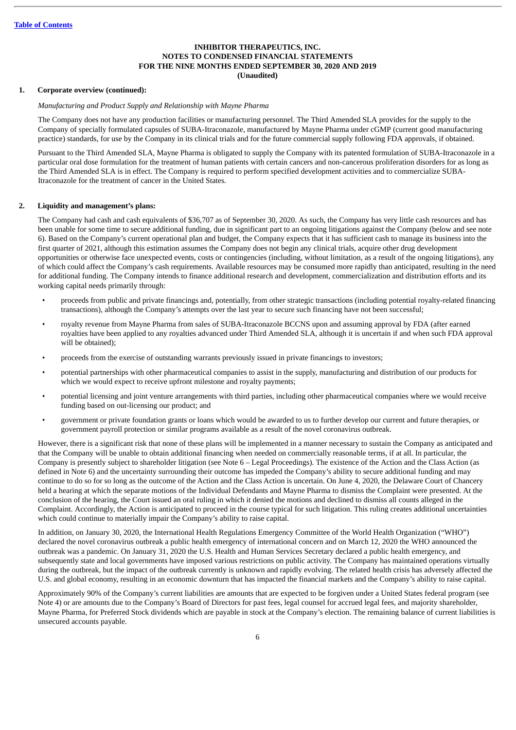## **1. Corporate overview (continued):**

#### *Manufacturing and Product Supply and Relationship with Mayne Pharma*

The Company does not have any production facilities or manufacturing personnel. The Third Amended SLA provides for the supply to the Company of specially formulated capsules of SUBA-Itraconazole, manufactured by Mayne Pharma under cGMP (current good manufacturing practice) standards, for use by the Company in its clinical trials and for the future commercial supply following FDA approvals, if obtained.

Pursuant to the Third Amended SLA, Mayne Pharma is obligated to supply the Company with its patented formulation of SUBA-Itraconazole in a particular oral dose formulation for the treatment of human patients with certain cancers and non-cancerous proliferation disorders for as long as the Third Amended SLA is in effect. The Company is required to perform specified development activities and to commercialize SUBA-Itraconazole for the treatment of cancer in the United States.

## **2. Liquidity and management's plans:**

The Company had cash and cash equivalents of \$36,707 as of September 30, 2020. As such, the Company has very little cash resources and has been unable for some time to secure additional funding, due in significant part to an ongoing litigations against the Company (below and see note 6). Based on the Company's current operational plan and budget, the Company expects that it has sufficient cash to manage its business into the first quarter of 2021, although this estimation assumes the Company does not begin any clinical trials, acquire other drug development opportunities or otherwise face unexpected events, costs or contingencies (including, without limitation, as a result of the ongoing litigations), any of which could affect the Company's cash requirements. Available resources may be consumed more rapidly than anticipated, resulting in the need for additional funding. The Company intends to finance additional research and development, commercialization and distribution efforts and its working capital needs primarily through:

- proceeds from public and private financings and, potentially, from other strategic transactions (including potential royalty-related financing transactions), although the Company's attempts over the last year to secure such financing have not been successful;
- royalty revenue from Mayne Pharma from sales of SUBA-Itraconazole BCCNS upon and assuming approval by FDA (after earned royalties have been applied to any royalties advanced under Third Amended SLA, although it is uncertain if and when such FDA approval will be obtained);
- proceeds from the exercise of outstanding warrants previously issued in private financings to investors;
- potential partnerships with other pharmaceutical companies to assist in the supply, manufacturing and distribution of our products for which we would expect to receive upfront milestone and royalty payments;
- potential licensing and joint venture arrangements with third parties, including other pharmaceutical companies where we would receive funding based on out-licensing our product; and
- government or private foundation grants or loans which would be awarded to us to further develop our current and future therapies, or government payroll protection or similar programs available as a result of the novel coronavirus outbreak.

However, there is a significant risk that none of these plans will be implemented in a manner necessary to sustain the Company as anticipated and that the Company will be unable to obtain additional financing when needed on commercially reasonable terms, if at all. In particular, the Company is presently subject to shareholder litigation (see Note 6 – Legal Proceedings). The existence of the Action and the Class Action (as defined in Note 6) and the uncertainty surrounding their outcome has impeded the Company's ability to secure additional funding and may continue to do so for so long as the outcome of the Action and the Class Action is uncertain. On June 4, 2020, the Delaware Court of Chancery held a hearing at which the separate motions of the Individual Defendants and Mayne Pharma to dismiss the Complaint were presented. At the conclusion of the hearing, the Court issued an oral ruling in which it denied the motions and declined to dismiss all counts alleged in the Complaint. Accordingly, the Action is anticipated to proceed in the course typical for such litigation. This ruling creates additional uncertainties which could continue to materially impair the Company's ability to raise capital.

In addition, on January 30, 2020, the International Health Regulations Emergency Committee of the World Health Organization ("WHO") declared the novel coronavirus outbreak a public health emergency of international concern and on March 12, 2020 the WHO announced the outbreak was a pandemic. On January 31, 2020 the U.S. Health and Human Services Secretary declared a public health emergency, and subsequently state and local governments have imposed various restrictions on public activity. The Company has maintained operations virtually during the outbreak, but the impact of the outbreak currently is unknown and rapidly evolving. The related health crisis has adversely affected the U.S. and global economy, resulting in an economic downturn that has impacted the financial markets and the Company's ability to raise capital.

Approximately 90% of the Company's current liabilities are amounts that are expected to be forgiven under a United States federal program (see Note 4) or are amounts due to the Company's Board of Directors for past fees, legal counsel for accrued legal fees, and majority shareholder, Mayne Pharma, for Preferred Stock dividends which are payable in stock at the Company's election. The remaining balance of current liabilities is unsecured accounts payable.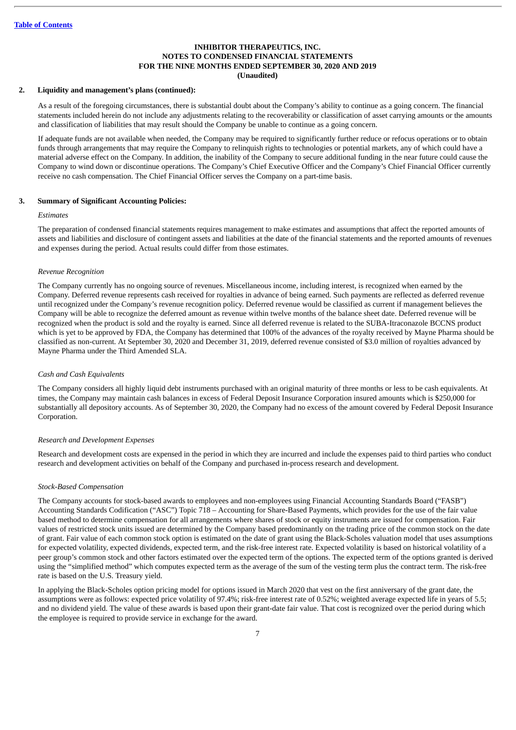## **2. Liquidity and management's plans (continued):**

As a result of the foregoing circumstances, there is substantial doubt about the Company's ability to continue as a going concern. The financial statements included herein do not include any adjustments relating to the recoverability or classification of asset carrying amounts or the amounts and classification of liabilities that may result should the Company be unable to continue as a going concern.

If adequate funds are not available when needed, the Company may be required to significantly further reduce or refocus operations or to obtain funds through arrangements that may require the Company to relinquish rights to technologies or potential markets, any of which could have a material adverse effect on the Company. In addition, the inability of the Company to secure additional funding in the near future could cause the Company to wind down or discontinue operations. The Company's Chief Executive Officer and the Company's Chief Financial Officer currently receive no cash compensation. The Chief Financial Officer serves the Company on a part-time basis.

#### **3. Summary of Significant Accounting Policies:**

#### *Estimates*

The preparation of condensed financial statements requires management to make estimates and assumptions that affect the reported amounts of assets and liabilities and disclosure of contingent assets and liabilities at the date of the financial statements and the reported amounts of revenues and expenses during the period. Actual results could differ from those estimates.

#### *Revenue Recognition*

The Company currently has no ongoing source of revenues. Miscellaneous income, including interest, is recognized when earned by the Company. Deferred revenue represents cash received for royalties in advance of being earned. Such payments are reflected as deferred revenue until recognized under the Company's revenue recognition policy. Deferred revenue would be classified as current if management believes the Company will be able to recognize the deferred amount as revenue within twelve months of the balance sheet date. Deferred revenue will be recognized when the product is sold and the royalty is earned. Since all deferred revenue is related to the SUBA-Itraconazole BCCNS product which is yet to be approved by FDA, the Company has determined that 100% of the advances of the royalty received by Mayne Pharma should be classified as non-current. At September 30, 2020 and December 31, 2019, deferred revenue consisted of \$3.0 million of royalties advanced by Mayne Pharma under the Third Amended SLA.

## *Cash and Cash Equivalents*

The Company considers all highly liquid debt instruments purchased with an original maturity of three months or less to be cash equivalents. At times, the Company may maintain cash balances in excess of Federal Deposit Insurance Corporation insured amounts which is \$250,000 for substantially all depository accounts. As of September 30, 2020, the Company had no excess of the amount covered by Federal Deposit Insurance Corporation.

## *Research and Development Expenses*

Research and development costs are expensed in the period in which they are incurred and include the expenses paid to third parties who conduct research and development activities on behalf of the Company and purchased in-process research and development.

## *Stock-Based Compensation*

The Company accounts for stock-based awards to employees and non-employees using Financial Accounting Standards Board ("FASB") Accounting Standards Codification ("ASC") Topic 718 – Accounting for Share-Based Payments, which provides for the use of the fair value based method to determine compensation for all arrangements where shares of stock or equity instruments are issued for compensation. Fair values of restricted stock units issued are determined by the Company based predominantly on the trading price of the common stock on the date of grant. Fair value of each common stock option is estimated on the date of grant using the Black-Scholes valuation model that uses assumptions for expected volatility, expected dividends, expected term, and the risk-free interest rate. Expected volatility is based on historical volatility of a peer group's common stock and other factors estimated over the expected term of the options. The expected term of the options granted is derived using the "simplified method" which computes expected term as the average of the sum of the vesting term plus the contract term. The risk-free rate is based on the U.S. Treasury yield.

In applying the Black-Scholes option pricing model for options issued in March 2020 that vest on the first anniversary of the grant date, the assumptions were as follows: expected price volatility of 97.4%; risk-free interest rate of 0.52%; weighted average expected life in years of 5.5; and no dividend yield. The value of these awards is based upon their grant-date fair value. That cost is recognized over the period during which the employee is required to provide service in exchange for the award.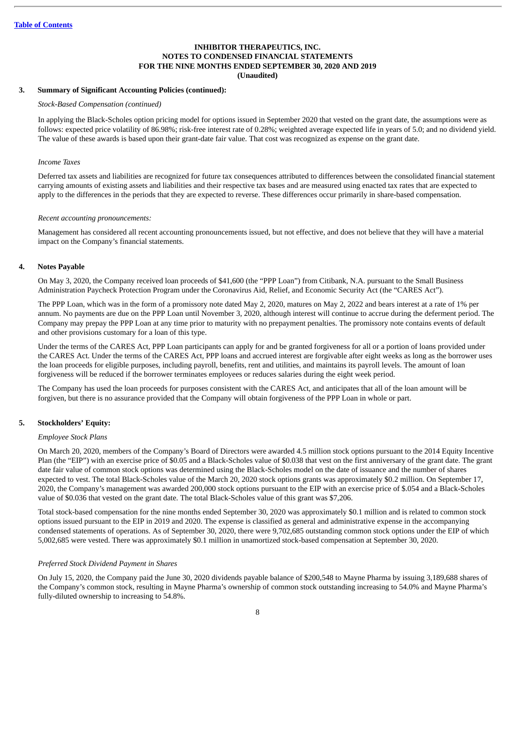## **3. Summary of Significant Accounting Policies (continued):**

*Stock-Based Compensation (continued)*

In applying the Black-Scholes option pricing model for options issued in September 2020 that vested on the grant date, the assumptions were as follows: expected price volatility of 86.98%; risk-free interest rate of 0.28%; weighted average expected life in years of 5.0; and no dividend yield. The value of these awards is based upon their grant-date fair value. That cost was recognized as expense on the grant date.

#### *Income Taxes*

Deferred tax assets and liabilities are recognized for future tax consequences attributed to differences between the consolidated financial statement carrying amounts of existing assets and liabilities and their respective tax bases and are measured using enacted tax rates that are expected to apply to the differences in the periods that they are expected to reverse. These differences occur primarily in share-based compensation.

#### *Recent accounting pronouncements:*

Management has considered all recent accounting pronouncements issued, but not effective, and does not believe that they will have a material impact on the Company's financial statements.

## **4. Notes Payable**

On May 3, 2020, the Company received loan proceeds of \$41,600 (the "PPP Loan") from Citibank, N.A. pursuant to the Small Business Administration Paycheck Protection Program under the Coronavirus Aid, Relief, and Economic Security Act (the "CARES Act").

The PPP Loan, which was in the form of a promissory note dated May 2, 2020, matures on May 2, 2022 and bears interest at a rate of 1% per annum. No payments are due on the PPP Loan until November 3, 2020, although interest will continue to accrue during the deferment period. The Company may prepay the PPP Loan at any time prior to maturity with no prepayment penalties. The promissory note contains events of default and other provisions customary for a loan of this type.

Under the terms of the CARES Act, PPP Loan participants can apply for and be granted forgiveness for all or a portion of loans provided under the CARES Act. Under the terms of the CARES Act, PPP loans and accrued interest are forgivable after eight weeks as long as the borrower uses the loan proceeds for eligible purposes, including payroll, benefits, rent and utilities, and maintains its payroll levels. The amount of loan forgiveness will be reduced if the borrower terminates employees or reduces salaries during the eight week period.

The Company has used the loan proceeds for purposes consistent with the CARES Act, and anticipates that all of the loan amount will be forgiven, but there is no assurance provided that the Company will obtain forgiveness of the PPP Loan in whole or part.

## **5. Stockholders' Equity:**

#### *Employee Stock Plans*

On March 20, 2020, members of the Company's Board of Directors were awarded 4.5 million stock options pursuant to the 2014 Equity Incentive Plan (the "EIP") with an exercise price of \$0.05 and a Black-Scholes value of \$0.038 that vest on the first anniversary of the grant date. The grant date fair value of common stock options was determined using the Black-Scholes model on the date of issuance and the number of shares expected to vest. The total Black-Scholes value of the March 20, 2020 stock options grants was approximately \$0.2 million. On September 17, 2020, the Company's management was awarded 200,000 stock options pursuant to the EIP with an exercise price of \$.054 and a Black-Scholes value of \$0.036 that vested on the grant date. The total Black-Scholes value of this grant was \$7,206.

Total stock-based compensation for the nine months ended September 30, 2020 was approximately \$0.1 million and is related to common stock options issued pursuant to the EIP in 2019 and 2020. The expense is classified as general and administrative expense in the accompanying condensed statements of operations. As of September 30, 2020, there were 9,702,685 outstanding common stock options under the EIP of which 5,002,685 were vested. There was approximately \$0.1 million in unamortized stock-based compensation at September 30, 2020.

#### *Preferred Stock Dividend Payment in Shares*

On July 15, 2020, the Company paid the June 30, 2020 dividends payable balance of \$200,548 to Mayne Pharma by issuing 3,189,688 shares of the Company's common stock, resulting in Mayne Pharma's ownership of common stock outstanding increasing to 54.0% and Mayne Pharma's fully-diluted ownership to increasing to 54.8%.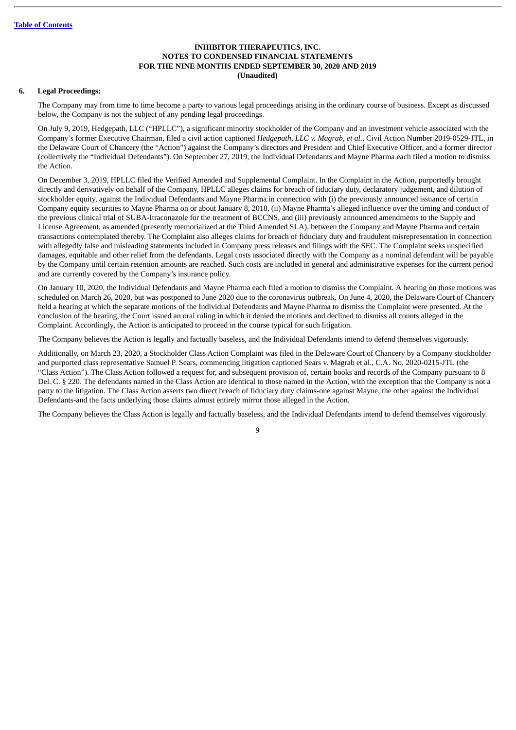## **6. Legal Proceedings:**

The Company may from time to time become a party to various legal proceedings arising in the ordinary course of business. Except as discussed below, the Company is not the subject of any pending legal proceedings.

On July 9, 2019, Hedgepath, LLC ("HPLLC"), a significant minority stockholder of the Company and an investment vehicle associated with the Company's former Executive Chairman, filed a civil action captioned *Hedgepath, LLC v. Magrab, et al.*, Civil Action Number 2019-0529-JTL, in the Delaware Court of Chancery (the "Action") against the Company's directors and President and Chief Executive Officer, and a former director (collectively the "Individual Defendants"). On September 27, 2019, the Individual Defendants and Mayne Pharma each filed a motion to dismiss the Action.

On December 3, 2019, HPLLC filed the Verified Amended and Supplemental Complaint. In the Complaint in the Action, purportedly brought directly and derivatively on behalf of the Company, HPLLC alleges claims for breach of fiduciary duty, declaratory judgement, and dilution of stockholder equity, against the Individual Defendants and Mayne Pharma in connection with (i) the previously announced issuance of certain Company equity securities to Mayne Pharma on or about January 8, 2018, (ii) Mayne Pharma's alleged influence over the timing and conduct of the previous clinical trial of SUBA-Itraconazole for the treatment of BCCNS, and (iii) previously announced amendments to the Supply and License Agreement, as amended (presently memorialized at the Third Amended SLA), between the Company and Mayne Pharma and certain transactions contemplated thereby. The Complaint also alleges claims for breach of fiduciary duty and fraudulent misrepresentation in connection with allegedly false and misleading statements included in Company press releases and filings with the SEC. The Complaint seeks unspecified damages, equitable and other relief from the defendants. Legal costs associated directly with the Company as a nominal defendant will be payable by the Company until certain retention amounts are reached. Such costs are included in general and administrative expenses for the current period and are currently covered by the Company's insurance policy.

On January 10, 2020, the Individual Defendants and Mayne Pharma each filed a motion to dismiss the Complaint. A hearing on those motions was scheduled on March 26, 2020, but was postponed to June 2020 due to the coronavirus outbreak. On June 4, 2020, the Delaware Court of Chancery held a hearing at which the separate motions of the Individual Defendants and Mayne Pharma to dismiss the Complaint were presented. At the conclusion of the hearing, the Court issued an oral ruling in which it denied the motions and declined to dismiss all counts alleged in the Complaint. Accordingly, the Action is anticipated to proceed in the course typical for such litigation.

The Company believes the Action is legally and factually baseless, and the Individual Defendants intend to defend themselves vigorously.

Additionally, on March 23, 2020, a Stockholder Class Action Complaint was filed in the Delaware Court of Chancery by a Company stockholder and purported class representative Samuel P. Sears, commencing litigation captioned Sears v. Magrab et al., C.A. No. 2020-0215-JTL (the "Class Action"). The Class Action followed a request for, and subsequent provision of, certain books and records of the Company pursuant to 8 Del. C. § 220. The defendants named in the Class Action are identical to those named in the Action, with the exception that the Company is not a party to the litigation. The Class Action asserts two direct breach of fiduciary duty claims-one against Mayne, the other against the Individual Defendants-and the facts underlying those claims almost entirely mirror those alleged in the Action.

The Company believes the Class Action is legally and factually baseless, and the Individual Defendants intend to defend themselves vigorously.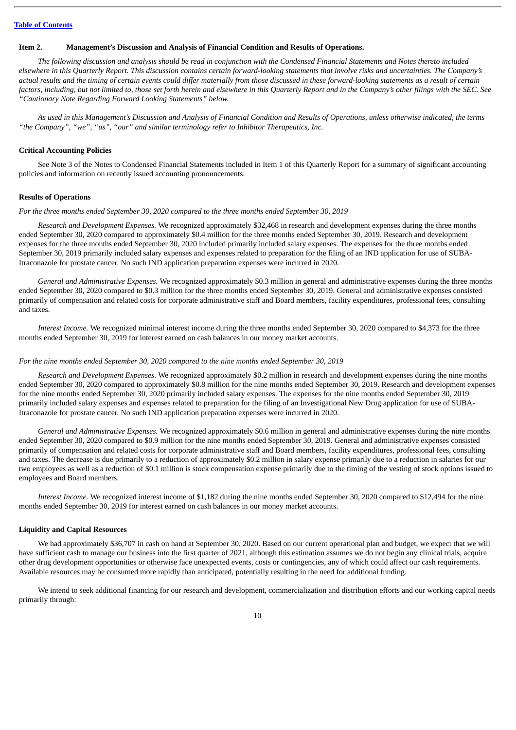#### <span id="page-11-0"></span>**Item 2. Management's Discussion and Analysis of Financial Condition and Results of Operations.**

The following discussion and analysis should be read in conjunction with the Condensed Financial Statements and Notes thereto included elsewhere in this Quarterly Report. This discussion contains certain forward-looking statements that involve risks and uncertainties. The Company's actual results and the timing of certain events could differ materially from those discussed in these forward-looking statements as a result of certain factors, including, but not limited to, those set forth herein and elsewhere in this Quarterly Report and in the Company's other filings with the SEC. See *"Cautionary Note Regarding Forward Looking Statements" below.*

As used in this Management's Discussion and Analysis of Financial Condition and Results of Operations, unless otherwise indicated, the terms *"the Company", "we", "us", "our" and similar terminology refer to Inhibitor Therapeutics, Inc.*

#### **Critical Accounting Policies**

See Note 3 of the Notes to Condensed Financial Statements included in Item 1 of this Quarterly Report for a summary of significant accounting policies and information on recently issued accounting pronouncements.

## **Results of Operations**

*For the three months ended September 30, 2020 compared to the three months ended September 30, 2019*

*Research and Development Expenses.* We recognized approximately \$32,468 in research and development expenses during the three months ended September 30, 2020 compared to approximately \$0.4 million for the three months ended September 30, 2019. Research and development expenses for the three months ended September 30, 2020 included primarily included salary expenses. The expenses for the three months ended September 30, 2019 primarily included salary expenses and expenses related to preparation for the filing of an IND application for use of SUBA-Itraconazole for prostate cancer. No such IND application preparation expenses were incurred in 2020.

*General and Administrative Expenses.* We recognized approximately \$0.3 million in general and administrative expenses during the three months ended September 30, 2020 compared to \$0.3 million for the three months ended September 30, 2019. General and administrative expenses consisted primarily of compensation and related costs for corporate administrative staff and Board members, facility expenditures, professional fees, consulting and taxes.

*Interest Income.* We recognized minimal interest income during the three months ended September 30, 2020 compared to \$4,373 for the three months ended September 30, 2019 for interest earned on cash balances in our money market accounts.

#### *For the nine months ended September 30, 2020 compared to the nine months ended September 30, 2019*

*Research and Development Expenses.* We recognized approximately \$0.2 million in research and development expenses during the nine months ended September 30, 2020 compared to approximately \$0.8 million for the nine months ended September 30, 2019. Research and development expenses for the nine months ended September 30, 2020 primarily included salary expenses. The expenses for the nine months ended September 30, 2019 primarily included salary expenses and expenses related to preparation for the filing of an Investigational New Drug application for use of SUBA-Itraconazole for prostate cancer. No such IND application preparation expenses were incurred in 2020.

*General and Administrative Expenses.* We recognized approximately \$0.6 million in general and administrative expenses during the nine months ended September 30, 2020 compared to \$0.9 million for the nine months ended September 30, 2019. General and administrative expenses consisted primarily of compensation and related costs for corporate administrative staff and Board members, facility expenditures, professional fees, consulting and taxes. The decrease is due primarily to a reduction of approximately \$0.2 million in salary expense primarily due to a reduction in salaries for our two employees as well as a reduction of \$0.1 million is stock compensation expense primarily due to the timing of the vesting of stock options issued to employees and Board members.

*Interest Income.* We recognized interest income of \$1,182 during the nine months ended September 30, 2020 compared to \$12,494 for the nine months ended September 30, 2019 for interest earned on cash balances in our money market accounts.

#### **Liquidity and Capital Resources**

We had approximately \$36,707 in cash on hand at September 30, 2020. Based on our current operational plan and budget, we expect that we will have sufficient cash to manage our business into the first quarter of 2021, although this estimation assumes we do not begin any clinical trials, acquire other drug development opportunities or otherwise face unexpected events, costs or contingencies, any of which could affect our cash requirements. Available resources may be consumed more rapidly than anticipated, potentially resulting in the need for additional funding.

We intend to seek additional financing for our research and development, commercialization and distribution efforts and our working capital needs primarily through: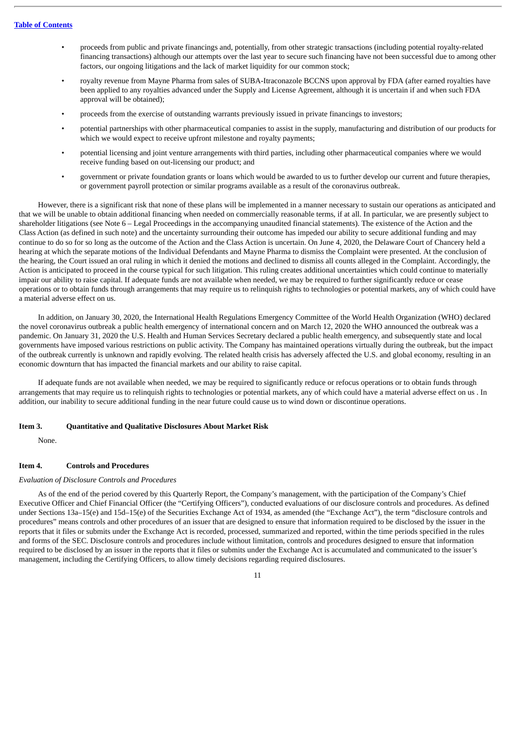- proceeds from public and private financings and, potentially, from other strategic transactions (including potential royalty-related financing transactions) although our attempts over the last year to secure such financing have not been successful due to among other factors, our ongoing litigations and the lack of market liquidity for our common stock;
- royalty revenue from Mayne Pharma from sales of SUBA-Itraconazole BCCNS upon approval by FDA (after earned royalties have been applied to any royalties advanced under the Supply and License Agreement, although it is uncertain if and when such FDA approval will be obtained);
- proceeds from the exercise of outstanding warrants previously issued in private financings to investors;
- potential partnerships with other pharmaceutical companies to assist in the supply, manufacturing and distribution of our products for which we would expect to receive upfront milestone and royalty payments;
- potential licensing and joint venture arrangements with third parties, including other pharmaceutical companies where we would receive funding based on out-licensing our product; and
- government or private foundation grants or loans which would be awarded to us to further develop our current and future therapies, or government payroll protection or similar programs available as a result of the coronavirus outbreak.

However, there is a significant risk that none of these plans will be implemented in a manner necessary to sustain our operations as anticipated and that we will be unable to obtain additional financing when needed on commercially reasonable terms, if at all. In particular, we are presently subject to shareholder litigations (see Note 6 – Legal Proceedings in the accompanying unaudited financial statements). The existence of the Action and the Class Action (as defined in such note) and the uncertainty surrounding their outcome has impeded our ability to secure additional funding and may continue to do so for so long as the outcome of the Action and the Class Action is uncertain. On June 4, 2020, the Delaware Court of Chancery held a hearing at which the separate motions of the Individual Defendants and Mayne Pharma to dismiss the Complaint were presented. At the conclusion of the hearing, the Court issued an oral ruling in which it denied the motions and declined to dismiss all counts alleged in the Complaint. Accordingly, the Action is anticipated to proceed in the course typical for such litigation. This ruling creates additional uncertainties which could continue to materially impair our ability to raise capital. If adequate funds are not available when needed, we may be required to further significantly reduce or cease operations or to obtain funds through arrangements that may require us to relinquish rights to technologies or potential markets, any of which could have a material adverse effect on us.

In addition, on January 30, 2020, the International Health Regulations Emergency Committee of the World Health Organization (WHO) declared the novel coronavirus outbreak a public health emergency of international concern and on March 12, 2020 the WHO announced the outbreak was a pandemic. On January 31, 2020 the U.S. Health and Human Services Secretary declared a public health emergency, and subsequently state and local governments have imposed various restrictions on public activity. The Company has maintained operations virtually during the outbreak, but the impact of the outbreak currently is unknown and rapidly evolving. The related health crisis has adversely affected the U.S. and global economy, resulting in an economic downturn that has impacted the financial markets and our ability to raise capital.

If adequate funds are not available when needed, we may be required to significantly reduce or refocus operations or to obtain funds through arrangements that may require us to relinquish rights to technologies or potential markets, any of which could have a material adverse effect on us . In addition, our inability to secure additional funding in the near future could cause us to wind down or discontinue operations.

## <span id="page-12-0"></span>**Item 3. Quantitative and Qualitative Disclosures About Market Risk**

None.

#### <span id="page-12-1"></span>**Item 4. Controls and Procedures**

#### *Evaluation of Disclosure Controls and Procedures*

As of the end of the period covered by this Quarterly Report, the Company's management, with the participation of the Company's Chief Executive Officer and Chief Financial Officer (the "Certifying Officers"), conducted evaluations of our disclosure controls and procedures. As defined under Sections 13a–15(e) and 15d–15(e) of the Securities Exchange Act of 1934, as amended (the "Exchange Act"), the term "disclosure controls and procedures" means controls and other procedures of an issuer that are designed to ensure that information required to be disclosed by the issuer in the reports that it files or submits under the Exchange Act is recorded, processed, summarized and reported, within the time periods specified in the rules and forms of the SEC. Disclosure controls and procedures include without limitation, controls and procedures designed to ensure that information required to be disclosed by an issuer in the reports that it files or submits under the Exchange Act is accumulated and communicated to the issuer's management, including the Certifying Officers, to allow timely decisions regarding required disclosures.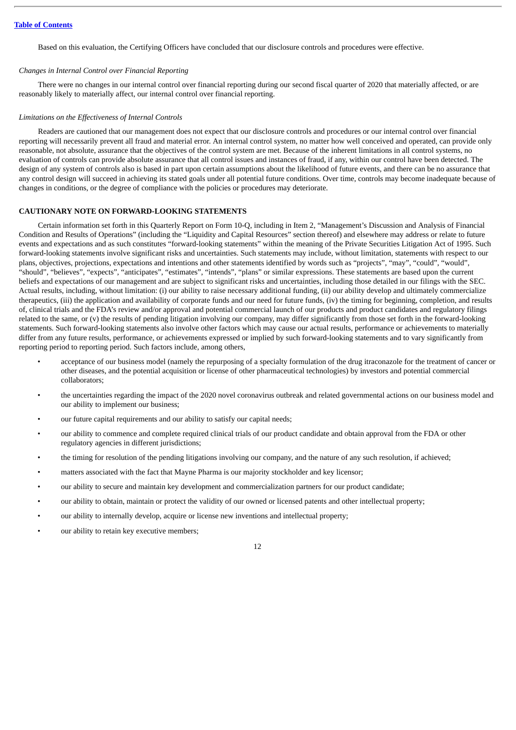Based on this evaluation, the Certifying Officers have concluded that our disclosure controls and procedures were effective.

## *Changes in Internal Control over Financial Reporting*

There were no changes in our internal control over financial reporting during our second fiscal quarter of 2020 that materially affected, or are reasonably likely to materially affect, our internal control over financial reporting.

#### *Limitations on the Effectiveness of Internal Controls*

Readers are cautioned that our management does not expect that our disclosure controls and procedures or our internal control over financial reporting will necessarily prevent all fraud and material error. An internal control system, no matter how well conceived and operated, can provide only reasonable, not absolute, assurance that the objectives of the control system are met. Because of the inherent limitations in all control systems, no evaluation of controls can provide absolute assurance that all control issues and instances of fraud, if any, within our control have been detected. The design of any system of controls also is based in part upon certain assumptions about the likelihood of future events, and there can be no assurance that any control design will succeed in achieving its stated goals under all potential future conditions. Over time, controls may become inadequate because of changes in conditions, or the degree of compliance with the policies or procedures may deteriorate.

## <span id="page-13-0"></span>**CAUTIONARY NOTE ON FORWARD-LOOKING STATEMENTS**

Certain information set forth in this Quarterly Report on Form 10-Q, including in Item 2, "Management's Discussion and Analysis of Financial Condition and Results of Operations" (including the "Liquidity and Capital Resources" section thereof) and elsewhere may address or relate to future events and expectations and as such constitutes "forward-looking statements" within the meaning of the Private Securities Litigation Act of 1995. Such forward-looking statements involve significant risks and uncertainties. Such statements may include, without limitation, statements with respect to our plans, objectives, projections, expectations and intentions and other statements identified by words such as "projects", "may", "could", "would", "should", "believes", "expects", "anticipates", "estimates", "intends", "plans" or similar expressions. These statements are based upon the current beliefs and expectations of our management and are subject to significant risks and uncertainties, including those detailed in our filings with the SEC. Actual results, including, without limitation: (i) our ability to raise necessary additional funding, (ii) our ability develop and ultimately commercialize therapeutics, (iii) the application and availability of corporate funds and our need for future funds, (iv) the timing for beginning, completion, and results of, clinical trials and the FDA's review and/or approval and potential commercial launch of our products and product candidates and regulatory filings related to the same, or (v) the results of pending litigation involving our company, may differ significantly from those set forth in the forward-looking statements. Such forward-looking statements also involve other factors which may cause our actual results, performance or achievements to materially differ from any future results, performance, or achievements expressed or implied by such forward-looking statements and to vary significantly from reporting period to reporting period. Such factors include, among others,

- acceptance of our business model (namely the repurposing of a specialty formulation of the drug itraconazole for the treatment of cancer or other diseases, and the potential acquisition or license of other pharmaceutical technologies) by investors and potential commercial collaborators;
- the uncertainties regarding the impact of the 2020 novel coronavirus outbreak and related governmental actions on our business model and our ability to implement our business;
- our future capital requirements and our ability to satisfy our capital needs;
- our ability to commence and complete required clinical trials of our product candidate and obtain approval from the FDA or other regulatory agencies in different jurisdictions;
- the timing for resolution of the pending litigations involving our company, and the nature of any such resolution, if achieved;
- matters associated with the fact that Mayne Pharma is our majority stockholder and key licensor;
- our ability to secure and maintain key development and commercialization partners for our product candidate;
- our ability to obtain, maintain or protect the validity of our owned or licensed patents and other intellectual property;
- our ability to internally develop, acquire or license new inventions and intellectual property;
- our ability to retain key executive members;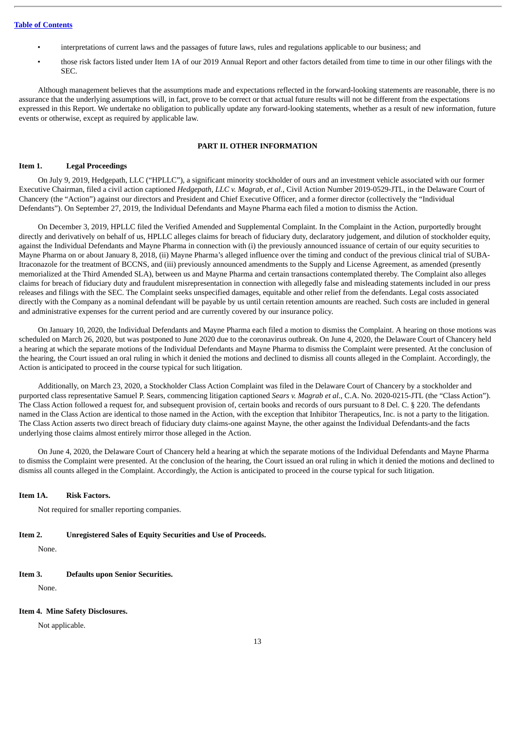## **Table of [Contents](#page-1-0)**

- interpretations of current laws and the passages of future laws, rules and regulations applicable to our business; and
- those risk factors listed under Item 1A of our 2019 Annual Report and other factors detailed from time to time in our other filings with the SEC.

Although management believes that the assumptions made and expectations reflected in the forward-looking statements are reasonable, there is no assurance that the underlying assumptions will, in fact, prove to be correct or that actual future results will not be different from the expectations expressed in this Report. We undertake no obligation to publically update any forward-looking statements, whether as a result of new information, future events or otherwise, except as required by applicable law.

## **PART II. OTHER INFORMATION**

## <span id="page-14-1"></span><span id="page-14-0"></span>**Item 1. Legal Proceedings**

On July 9, 2019, Hedgepath, LLC ("HPLLC"), a significant minority stockholder of ours and an investment vehicle associated with our former Executive Chairman, filed a civil action captioned *Hedgepath, LLC v. Magrab, et al.*, Civil Action Number 2019-0529-JTL, in the Delaware Court of Chancery (the "Action") against our directors and President and Chief Executive Officer, and a former director (collectively the "Individual Defendants"). On September 27, 2019, the Individual Defendants and Mayne Pharma each filed a motion to dismiss the Action.

On December 3, 2019, HPLLC filed the Verified Amended and Supplemental Complaint. In the Complaint in the Action, purportedly brought directly and derivatively on behalf of us, HPLLC alleges claims for breach of fiduciary duty, declaratory judgement, and dilution of stockholder equity, against the Individual Defendants and Mayne Pharma in connection with (i) the previously announced issuance of certain of our equity securities to Mayne Pharma on or about January 8, 2018, (ii) Mayne Pharma's alleged influence over the timing and conduct of the previous clinical trial of SUBA-Itraconazole for the treatment of BCCNS, and (iii) previously announced amendments to the Supply and License Agreement, as amended (presently memorialized at the Third Amended SLA), between us and Mayne Pharma and certain transactions contemplated thereby. The Complaint also alleges claims for breach of fiduciary duty and fraudulent misrepresentation in connection with allegedly false and misleading statements included in our press releases and filings with the SEC. The Complaint seeks unspecified damages, equitable and other relief from the defendants. Legal costs associated directly with the Company as a nominal defendant will be payable by us until certain retention amounts are reached. Such costs are included in general and administrative expenses for the current period and are currently covered by our insurance policy.

On January 10, 2020, the Individual Defendants and Mayne Pharma each filed a motion to dismiss the Complaint. A hearing on those motions was scheduled on March 26, 2020, but was postponed to June 2020 due to the coronavirus outbreak. On June 4, 2020, the Delaware Court of Chancery held a hearing at which the separate motions of the Individual Defendants and Mayne Pharma to dismiss the Complaint were presented. At the conclusion of the hearing, the Court issued an oral ruling in which it denied the motions and declined to dismiss all counts alleged in the Complaint. Accordingly, the Action is anticipated to proceed in the course typical for such litigation.

Additionally, on March 23, 2020, a Stockholder Class Action Complaint was filed in the Delaware Court of Chancery by a stockholder and purported class representative Samuel P. Sears, commencing litigation captioned *Sears v. Magrab et al*., C.A. No. 2020-0215-JTL (the "Class Action"). The Class Action followed a request for, and subsequent provision of, certain books and records of ours pursuant to 8 Del. C. § 220. The defendants named in the Class Action are identical to those named in the Action, with the exception that Inhibitor Therapeutics, Inc. is not a party to the litigation. The Class Action asserts two direct breach of fiduciary duty claims-one against Mayne, the other against the Individual Defendants-and the facts underlying those claims almost entirely mirror those alleged in the Action.

On June 4, 2020, the Delaware Court of Chancery held a hearing at which the separate motions of the Individual Defendants and Mayne Pharma to dismiss the Complaint were presented. At the conclusion of the hearing, the Court issued an oral ruling in which it denied the motions and declined to dismiss all counts alleged in the Complaint. Accordingly, the Action is anticipated to proceed in the course typical for such litigation.

#### <span id="page-14-2"></span>**Item 1A. Risk Factors.**

Not required for smaller reporting companies.

<span id="page-14-3"></span>**Item 2. Unregistered Sales of Equity Securities and Use of Proceeds.**

None.

## <span id="page-14-4"></span>**Item 3. Defaults upon Senior Securities.**

None.

#### <span id="page-14-5"></span>**Item 4. Mine Safety Disclosures.**

Not applicable.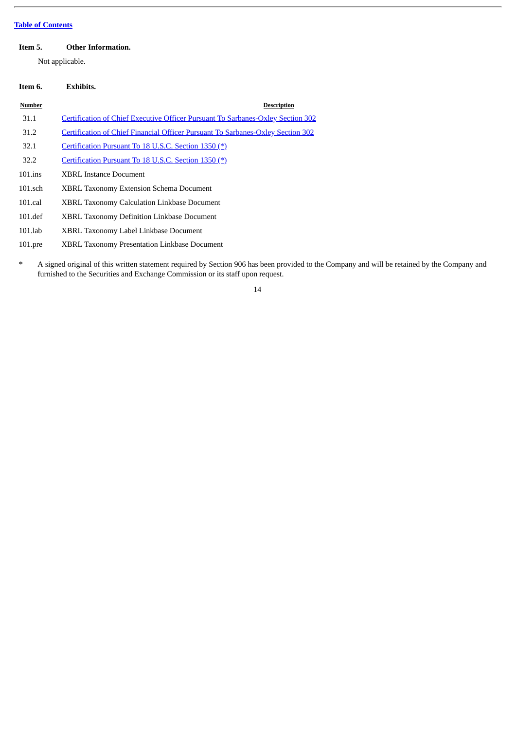## **Table of [Contents](#page-1-0)**

## <span id="page-15-0"></span>**Item 5. Other Information.**

Not applicable.

## <span id="page-15-1"></span>**Item 6. Exhibits. Number Description** 31.1 Certification of Chief Executive Officer Pursuant To [Sarbanes-Oxley](#page-17-0) Section 302 31.2 Certification of Chief Financial Officer Pursuant To [Sarbanes-Oxley](#page-18-0) Section 302 32.1 [Certification](#page-19-0) Pursuant To 18 U.S.C. Section 1350 (\*) 32.2 [Certification](#page-20-0) Pursuant To 18 U.S.C. Section 1350 (\*) 101.ins XBRL Instance Document 101.sch XBRL Taxonomy Extension Schema Document 101.cal XBRL Taxonomy Calculation Linkbase Document 101.def XBRL Taxonomy Definition Linkbase Document

- 101.lab XBRL Taxonomy Label Linkbase Document
- 101.pre XBRL Taxonomy Presentation Linkbase Document
- \* A signed original of this written statement required by Section 906 has been provided to the Company and will be retained by the Company and furnished to the Securities and Exchange Commission or its staff upon request.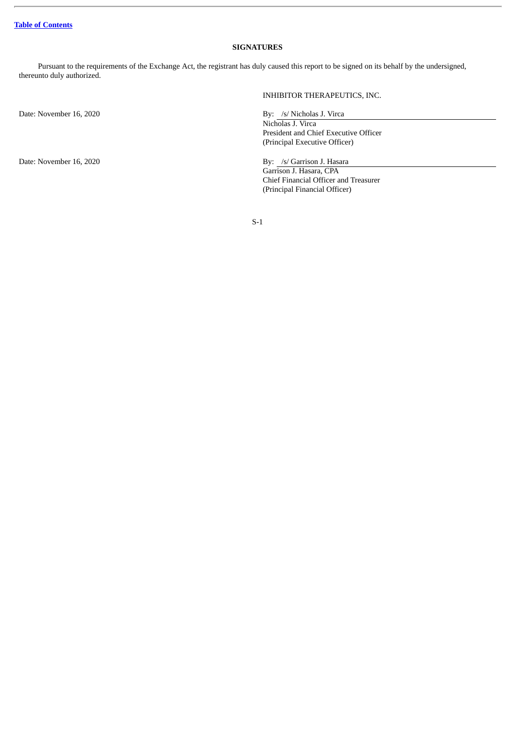## **SIGNATURES**

<span id="page-16-0"></span>Pursuant to the requirements of the Exchange Act, the registrant has duly caused this report to be signed on its behalf by the undersigned, thereunto duly authorized.

Date: November 16, 2020 By: /s/ Nicholas J. Virca

INHIBITOR THERAPEUTICS, INC.

Nicholas J. Virca President and Chief Executive Officer (Principal Executive Officer)

Date: November 16, 2020 By: /s/ Garrison J. Hasara Garrison J. Hasara, CPA Chief Financial Officer and Treasurer (Principal Financial Officer)

S-1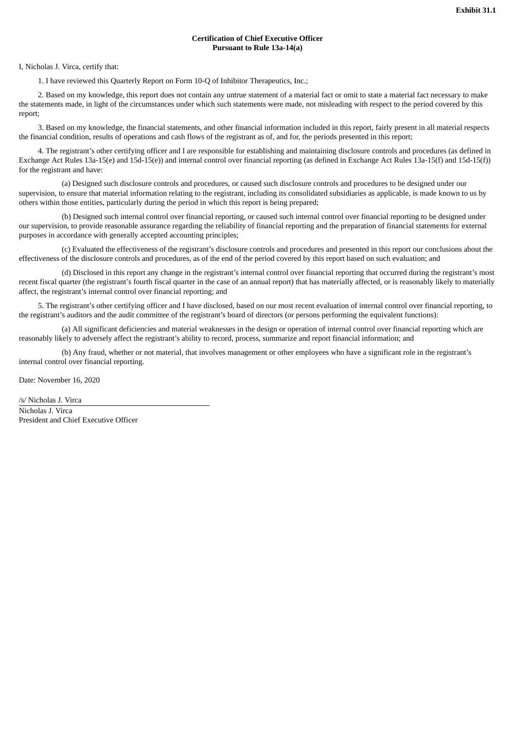## **Certification of Chief Executive Officer Pursuant to Rule 13a-14(a)**

#### <span id="page-17-0"></span>I, Nicholas J. Virca, certify that:

1. I have reviewed this Quarterly Report on Form 10-Q of Inhibitor Therapeutics, Inc.;

2. Based on my knowledge, this report does not contain any untrue statement of a material fact or omit to state a material fact necessary to make the statements made, in light of the circumstances under which such statements were made, not misleading with respect to the period covered by this report;

3. Based on my knowledge, the financial statements, and other financial information included in this report, fairly present in all material respects the financial condition, results of operations and cash flows of the registrant as of, and for, the periods presented in this report;

4. The registrant's other certifying officer and I are responsible for establishing and maintaining disclosure controls and procedures (as defined in Exchange Act Rules 13a-15(e) and 15d-15(e)) and internal control over financial reporting (as defined in Exchange Act Rules 13a-15(f) and 15d-15(f)) for the registrant and have:

(a) Designed such disclosure controls and procedures, or caused such disclosure controls and procedures to be designed under our supervision, to ensure that material information relating to the registrant, including its consolidated subsidiaries as applicable, is made known to us by others within those entities, particularly during the period in which this report is being prepared;

(b) Designed such internal control over financial reporting, or caused such internal control over financial reporting to be designed under our supervision, to provide reasonable assurance regarding the reliability of financial reporting and the preparation of financial statements for external purposes in accordance with generally accepted accounting principles;

(c) Evaluated the effectiveness of the registrant's disclosure controls and procedures and presented in this report our conclusions about the effectiveness of the disclosure controls and procedures, as of the end of the period covered by this report based on such evaluation; and

(d) Disclosed in this report any change in the registrant's internal control over financial reporting that occurred during the registrant's most recent fiscal quarter (the registrant's fourth fiscal quarter in the case of an annual report) that has materially affected, or is reasonably likely to materially affect, the registrant's internal control over financial reporting; and

5. The registrant's other certifying officer and I have disclosed, based on our most recent evaluation of internal control over financial reporting, to the registrant's auditors and the audit committee of the registrant's board of directors (or persons performing the equivalent functions):

(a) All significant deficiencies and material weaknesses in the design or operation of internal control over financial reporting which are reasonably likely to adversely affect the registrant's ability to record, process, summarize and report financial information; and

(b) Any fraud, whether or not material, that involves management or other employees who have a significant role in the registrant's internal control over financial reporting.

Date: November 16, 2020

/s/ Nicholas J. Virca Nicholas J. Virca President and Chief Executive Officer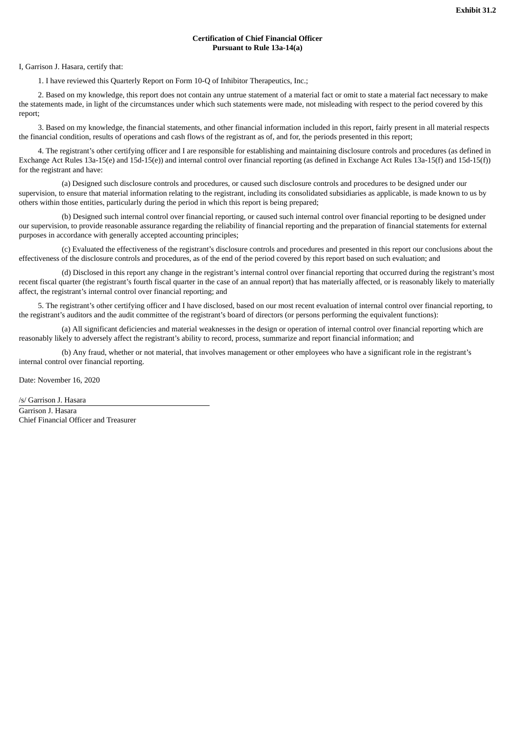## **Certification of Chief Financial Officer Pursuant to Rule 13a-14(a)**

<span id="page-18-0"></span>I, Garrison J. Hasara, certify that:

1. I have reviewed this Quarterly Report on Form 10-Q of Inhibitor Therapeutics, Inc.;

2. Based on my knowledge, this report does not contain any untrue statement of a material fact or omit to state a material fact necessary to make the statements made, in light of the circumstances under which such statements were made, not misleading with respect to the period covered by this report;

3. Based on my knowledge, the financial statements, and other financial information included in this report, fairly present in all material respects the financial condition, results of operations and cash flows of the registrant as of, and for, the periods presented in this report;

4. The registrant's other certifying officer and I are responsible for establishing and maintaining disclosure controls and procedures (as defined in Exchange Act Rules 13a-15(e) and 15d-15(e)) and internal control over financial reporting (as defined in Exchange Act Rules 13a-15(f) and 15d-15(f)) for the registrant and have:

(a) Designed such disclosure controls and procedures, or caused such disclosure controls and procedures to be designed under our supervision, to ensure that material information relating to the registrant, including its consolidated subsidiaries as applicable, is made known to us by others within those entities, particularly during the period in which this report is being prepared;

(b) Designed such internal control over financial reporting, or caused such internal control over financial reporting to be designed under our supervision, to provide reasonable assurance regarding the reliability of financial reporting and the preparation of financial statements for external purposes in accordance with generally accepted accounting principles;

(c) Evaluated the effectiveness of the registrant's disclosure controls and procedures and presented in this report our conclusions about the effectiveness of the disclosure controls and procedures, as of the end of the period covered by this report based on such evaluation; and

(d) Disclosed in this report any change in the registrant's internal control over financial reporting that occurred during the registrant's most recent fiscal quarter (the registrant's fourth fiscal quarter in the case of an annual report) that has materially affected, or is reasonably likely to materially affect, the registrant's internal control over financial reporting; and

5. The registrant's other certifying officer and I have disclosed, based on our most recent evaluation of internal control over financial reporting, to the registrant's auditors and the audit committee of the registrant's board of directors (or persons performing the equivalent functions):

(a) All significant deficiencies and material weaknesses in the design or operation of internal control over financial reporting which are reasonably likely to adversely affect the registrant's ability to record, process, summarize and report financial information; and

(b) Any fraud, whether or not material, that involves management or other employees who have a significant role in the registrant's internal control over financial reporting.

Date: November 16, 2020

/s/ Garrison J. Hasara Garrison J. Hasara Chief Financial Officer and Treasurer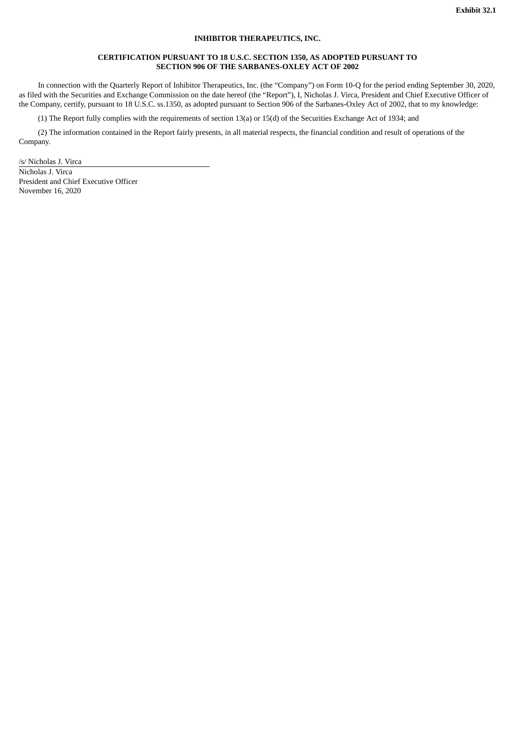## **INHIBITOR THERAPEUTICS, INC.**

## **CERTIFICATION PURSUANT TO 18 U.S.C. SECTION 1350, AS ADOPTED PURSUANT TO SECTION 906 OF THE SARBANES-OXLEY ACT OF 2002**

<span id="page-19-0"></span>In connection with the Quarterly Report of Inhibitor Therapeutics, Inc. (the "Company") on Form 10-Q for the period ending September 30, 2020, as filed with the Securities and Exchange Commission on the date hereof (the "Report"), I, Nicholas J. Virca, President and Chief Executive Officer of the Company, certify, pursuant to 18 U.S.C. ss.1350, as adopted pursuant to Section 906 of the Sarbanes-Oxley Act of 2002, that to my knowledge:

(1) The Report fully complies with the requirements of section 13(a) or 15(d) of the Securities Exchange Act of 1934; and

(2) The information contained in the Report fairly presents, in all material respects, the financial condition and result of operations of the Company.

/s/ Nicholas J. Virca

Nicholas J. Virca President and Chief Executive Officer November 16, 2020